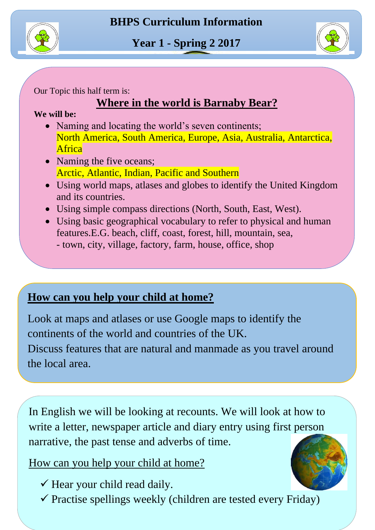



Our Topic this half term is:

## **Where in the world is Barnaby Bear?**

**We will be:**

- North America, South America, Europe, Asia, Australia, Antarctica, • Naming and locating the world's seven continents; **Africa**
- Naming the five oceans; Arctic, Atlantic, Indian, Pacific and Southern
- Using world maps, atlases and globes to identify the United Kingdom and its countries.
- Using simple compass directions (North, South, East, West).
- Using basic geographical vocabulary to refer to physical and human - town, city, village, factory, farm, house, office, shop features.E.G. beach, cliff, coast, forest, hill, mountain, sea,

## **How can you help your child at home?**

 continents of the world and countries of the UK. Discuss features that are natural and manmade as you travel around<br>the local area Look at maps and atlases or use Google maps to identify the

the local area.

narrative, the past tense and adverbs of time. In English we will be looking at recounts. We will look at how to write a letter, newspaper article and diary entry using first person

i<br>I

How can you help your child at home?

- $\checkmark$  Hear your child read daily.
- $\checkmark$  Practise spellings weekly (children are tested every Friday)